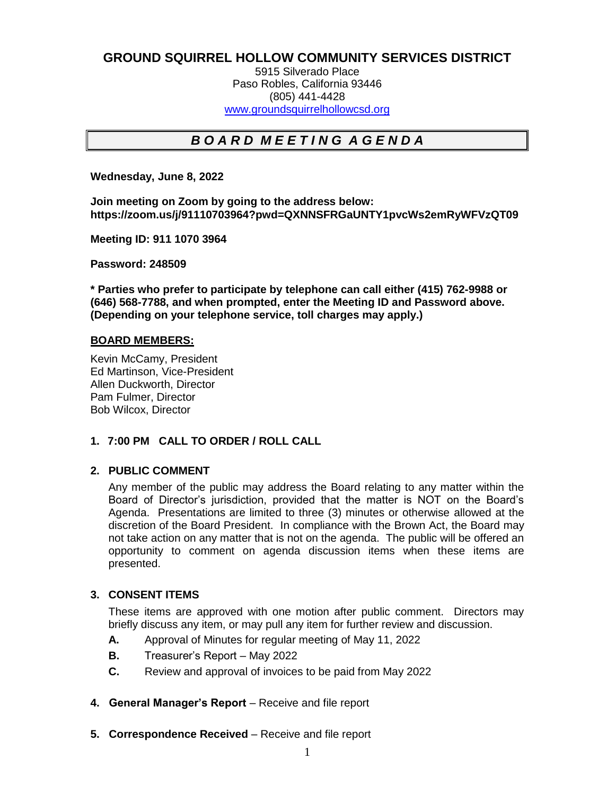## **GROUND SQUIRREL HOLLOW COMMUNITY SERVICES DISTRICT**

5915 Silverado Place Paso Robles, California 93446 (805) 441-4428 [www.groundsquirrelhollowcsd.org](http://www.groundsquirrelhollowcsd.org/)

# *B O A R D M E E T I N G A G E N D A*

**Wednesday, June 8, 2022**

**Join meeting on Zoom by going to the address below: https://zoom.us/j/91110703964?pwd=QXNNSFRGaUNTY1pvcWs2emRyWFVzQT09**

**Meeting ID: 911 1070 3964**

**Password: 248509**

**\* Parties who prefer to participate by telephone can call either (415) 762-9988 or (646) 568-7788, and when prompted, enter the Meeting ID and Password above. (Depending on your telephone service, toll charges may apply.)**

#### **BOARD MEMBERS:**

Kevin McCamy, President Ed Martinson, Vice-President Allen Duckworth, Director Pam Fulmer, Director Bob Wilcox, Director

## **1. 7:00 PM****CALL TO ORDER / ROLL CALL**

#### **2. PUBLIC COMMENT**

Any member of the public may address the Board relating to any matter within the Board of Director's jurisdiction, provided that the matter is NOT on the Board's Agenda. Presentations are limited to three (3) minutes or otherwise allowed at the discretion of the Board President. In compliance with the Brown Act, the Board may not take action on any matter that is not on the agenda. The public will be offered an opportunity to comment on agenda discussion items when these items are presented.

#### **3. CONSENT ITEMS**

These items are approved with one motion after public comment. Directors may briefly discuss any item, or may pull any item for further review and discussion.

- **A.** Approval of Minutes for regular meeting of May 11, 2022
- **B.** Treasurer's Report May 2022
- **C.** Review and approval of invoices to be paid from May 2022
- **4. General Manager's Report**  Receive and file report
- **5. Correspondence Received** Receive and file report